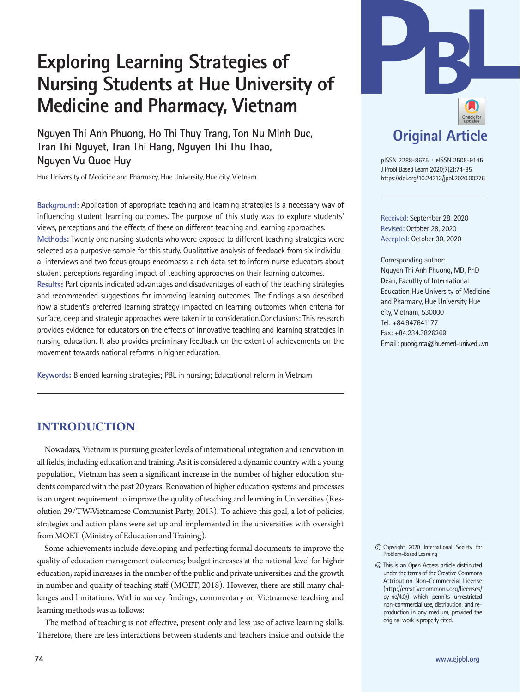# **Exploring Learning Strategies of Nursing Students at Hue University of Medicine and Pharmacy, Vietnam**

**Nguyen Thi Anh Phuong, Ho Thi Thuy Trang, Ton Nu Minh Duc, Tran Thi Nguyet, Tran Thi Hang, Nguyen Thi Thu Thao, Nguyen Vu Quoc Huy** 

Hue University of Medicine and Pharmacy, Hue University, Hue city, Vietnam

**Background:** Application of appropriate teaching and learning strategies is a necessary way of influencing student learning outcomes. The purpose of this study was to explore students' views, perceptions and the effects of these on different teaching and learning approaches. **Methods:** Twenty one nursing students who were exposed to different teaching strategies were selected as a purposive sample for this study. Qualitative analysis of feedback from six individual interviews and two focus groups encompass a rich data set to inform nurse educators about student perceptions regarding impact of teaching approaches on their learning outcomes. **Results:** Participants indicated advantages and disadvantages of each of the teaching strategies and recommended suggestions for improving learning outcomes. The findings also described how a student's preferred learning strategy impacted on learning outcomes when criteria for surface, deep and strategic approaches were taken into consideration.Conclusions: This research provides evidence for educators on the effects of innovative teaching and learning strategies in nursing education. It also provides preliminary feedback on the extent of achievements on the movement towards national reforms in higher education.

**Keywords:** Blended learning strategies; PBL in nursing; Educational reform in Vietnam



pISSN 2288-8675 · eISSN 2508-9145 J Probl Based Learn 2020;7(2):74-85 https://doi.org/10.24313/jpbl.2020.00276

Received: September 28, 2020 Revised: October 28, 2020 Accepted: October 30, 2020

Corresponding author: Nguyen Thi Anh Phuong, MD, PhD Dean, Facutlty of International Education Hue University of Medicine and Pharmacy, Hue University Hue city, Vietnam, 530000 Tel: +84.947641177 Fax: +84.234.3826269 Email: puong.nta@huemed-univ.edu.vn

## **INTRODUCTION**

Nowadays, Vietnam is pursuing greater levels of international integration and renovation in all fields, including education and training. As it is considered a dynamic country with a young population, Vietnam has seen a significant increase in the number of higher education students compared with the past 20 years. Renovation of higher education systems and processes is an urgent requirement to improve the quality of teaching and learning in Universities (Resolution 29/TW-Vietnamese Communist Party, 2013). To achieve this goal, a lot of policies, strategies and action plans were set up and implemented in the universities with oversight from MOET (Ministry of Education and Training).

Some achievements include developing and perfecting formal documents to improve the quality of education management outcomes; budget increases at the national level for higher education; rapid increases in the number of the public and private universities and the growth in number and quality of teaching staff (MOET, 2018). However, there are still many challenges and limitations. Within survey findings, commentary on Vietnamese teaching and learning methods was as follows:

The method of teaching is not effective, present only and less use of active learning skills. Therefore, there are less interactions between students and teachers inside and outside the Copyright 2020 International Society for

This is an Open Access article distributed under the terms of the Creative Commons Attribution Non-Commercial License (http://creativecommons.org/licenses/ by-nc/4.0/) which permits unrestricted non-commercial use, distribution, and reproduction in any medium, provided the original work is properly cited.

Problem-Based Learning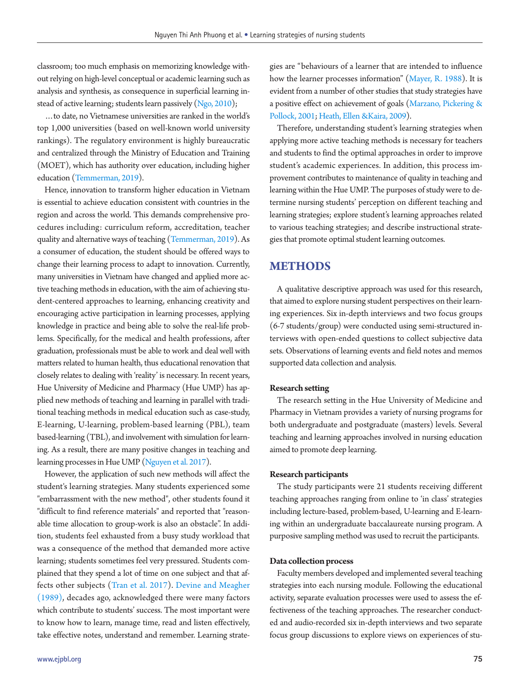classroom; too much emphasis on memorizing knowledge without relying on high-level conceptual or academic learning such as analysis and synthesis, as consequence in superficial learning instead of active learning; students learn passively [\(Ngo, 2010](#page-10-0));

…to date, no Vietnamese universities are ranked in the world's top 1,000 universities (based on well-known world university rankings). The regulatory environment is highly bureaucratic and centralized through the Ministry of Education and Training (MOET), which has authority over education, including higher education [\(Temmerman, 2019\)](#page-10-1).

Hence, innovation to transform higher education in Vietnam is essential to achieve education consistent with countries in the region and across the world. This demands comprehensive procedures including: curriculum reform, accreditation, teacher quality and alternative ways of teaching [\(Temmerman, 2019](#page-10-1)). As a consumer of education, the student should be offered ways to change their learning process to adapt to innovation. Currently, many universities in Vietnam have changed and applied more active teaching methods in education, with the aim of achieving student-centered approaches to learning, enhancing creativity and encouraging active participation in learning processes, applying knowledge in practice and being able to solve the real-life problems. Specifically, for the medical and health professions, after graduation, professionals must be able to work and deal well with matters related to human health, thus educational renovation that closely relates to dealing with 'reality' is necessary. In recent years, Hue University of Medicine and Pharmacy (Hue UMP) has applied new methods of teaching and learning in parallel with traditional teaching methods in medical education such as case-study, E-learning, U-learning, problem-based learning (PBL), team based-learning (TBL), and involvement with simulation for learning. As a result, there are many positive changes in teaching and learning processes in Hue UMP [\(Nguyen et al. 2017](#page-10-2)).

However, the application of such new methods will affect the student's learning strategies. Many students experienced some "embarrassment with the new method", other students found it "difficult to find reference materials" and reported that "reasonable time allocation to group-work is also an obstacle". In addition, students feel exhausted from a busy study workload that was a consequence of the method that demanded more active learning; students sometimes feel very pressured. Students complained that they spend a lot of time on one subject and that affects other subjects [\(T](#page-10-3)ran et al. [2017](#page-10-3)[\). Devine and Meagher](#page-10-4) [\(1989\),](#page-10-4) decades ago, acknowledged there were many factors which contribute to students' success. The most important were to know how to learn, manage time, read and listen effectively, take effective notes, understand and remember. Learning strate-

gies are "behaviours of a learner that are intended to influence how the learner processes information" [\(Mayer, R. 1988](#page-10-5)). It is evident from a number of other studies that study strategies have a positive effect on achievement of goals [\(Marzano, Pickering &](#page-10-6)  [Pollock, 2001;](#page-10-6) Heath, Ellen & Kaira, 2009).

Therefore, understanding student's learning strategies when applying more active teaching methods is necessary for teachers and students to find the optimal approaches in order to improve student's academic experiences. In addition, this process improvement contributes to maintenance of quality in teaching and learning within the Hue UMP. The purposes of study were to determine nursing students' perception on different teaching and learning strategies; explore student's learning approaches related to various teaching strategies; and describe instructional strategies that promote optimal student learning outcomes.

## **METHODS**

A qualitative descriptive approach was used for this research, that aimed to explore nursing student perspectives on their learning experiences. Six in-depth interviews and two focus groups (6-7 students/group) were conducted using semi-structured interviews with open-ended questions to collect subjective data sets. Observations of learning events and field notes and memos supported data collection and analysis.

#### **Research setting**

The research setting in the Hue University of Medicine and Pharmacy in Vietnam provides a variety of nursing programs for both undergraduate and postgraduate (masters) levels. Several teaching and learning approaches involved in nursing education aimed to promote deep learning.

#### **Research participants**

The study participants were 21 students receiving different teaching approaches ranging from online to 'in class' strategies including lecture-based, problem-based, U-learning and E-learning within an undergraduate baccalaureate nursing program. A purposive sampling method was used to recruit the participants.

#### **Data collection process**

Faculty members developed and implemented several teaching strategies into each nursing module. Following the educational activity, separate evaluation processes were used to assess the effectiveness of the teaching approaches. The researcher conducted and audio-recorded six in-depth interviews and two separate focus group discussions to explore views on experiences of stu-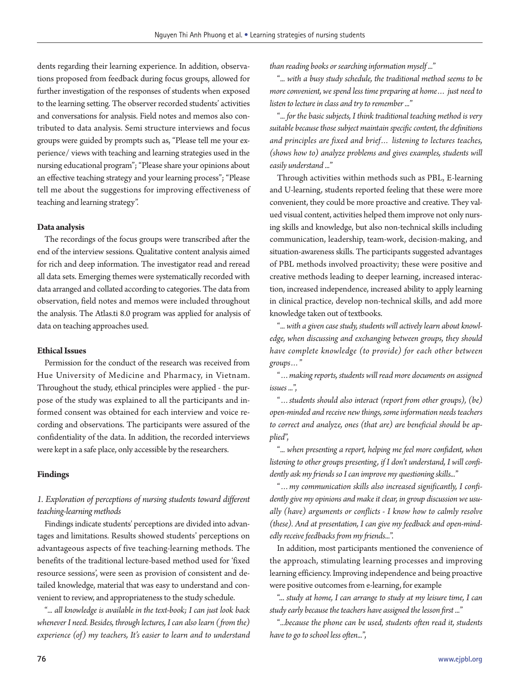dents regarding their learning experience. In addition, observations proposed from feedback during focus groups, allowed for further investigation of the responses of students when exposed to the learning setting. The observer recorded students' activities and conversations for analysis. Field notes and memos also contributed to data analysis. Semi structure interviews and focus groups were guided by prompts such as, "Please tell me your experience/ views with teaching and learning strategies used in the nursing educational program"; "Please share your opinions about an effective teaching strategy and your learning process"; "Please tell me about the suggestions for improving effectiveness of teaching and learning strategy".

#### **Data analysis**

The recordings of the focus groups were transcribed after the end of the interview sessions. Qualitative content analysis aimed for rich and deep information. The investigator read and reread all data sets. Emerging themes were systematically recorded with data arranged and collated according to categories. The data from observation, field notes and memos were included throughout the analysis. The Atlas.ti 8.0 program was applied for analysis of data on teaching approaches used.

### **Ethical Issues**

Permission for the conduct of the research was received from Hue University of Medicine and Pharmacy, in Vietnam. Throughout the study, ethical principles were applied - the purpose of the study was explained to all the participants and informed consent was obtained for each interview and voice recording and observations. The participants were assured of the confidentiality of the data. In addition, the recorded interviews were kept in a safe place, only accessible by the researchers.

#### **Findings**

## *1. Exploration of perceptions of nursing students toward different teaching-learning methods*

Findings indicate students' perceptions are divided into advantages and limitations. Results showed students' perceptions on advantageous aspects of five teaching-learning methods. The benefits of the traditional lecture-based method used for 'fixed resource sessions', were seen as provision of consistent and detailed knowledge, material that was easy to understand and convenient to review, and appropriateness to the study schedule.

"*... all knowledge is available in the text-book; I can just look back whenever I need. Besides, through lectures, I can also learn (from the) experience (of) my teachers, It's easier to learn and to understand*  *than reading books or searching information myself ...*"

"*... with a busy study schedule, the traditional method seems to be more convenient, we spend less time preparing at home… just need to listen to lecture in class and try to remember ...*"

"*... for the basic subjects, I think traditional teaching method is very suitable because those subject maintain specific content, the definitions and principles are fixed and brief… listening to lectures teaches, (shows how to) analyze problems and gives examples, students will easily understand ...*"

Through activities within methods such as PBL, E-learning and U-learning, students reported feeling that these were more convenient, they could be more proactive and creative. They valued visual content, activities helped them improve not only nursing skills and knowledge, but also non-technical skills including communication, leadership, team-work, decision-making, and situation-awareness skills. The participants suggested advantages of PBL methods involved proactivity; these were positive and creative methods leading to deeper learning, increased interaction, increased independence, increased ability to apply learning in clinical practice, develop non-technical skills, and add more knowledge taken out of textbooks.

"*... with a given case study, students will actively learn about knowledge, when discussing and exchanging between groups, they should have complete knowledge (to provide) for each other between groups…*"

"*…making reports, students will read more documents on assigned issues ...*",

"*…students should also interact (report from other groups), (be) open-minded and receive new things, some information needs teachers to correct and analyze, ones (that are) are beneficial should be applied*",

"*... when presenting a report, helping me feel more confident, when listening to other groups presenting, if I don't understand, I will confidently ask my friends so I can improve my questioning skills...*"

"*…my communication skills also increased significantly, I confidently give my opinions and make it clear, in group discussion we usually (have) arguments or conflicts - I know how to calmly resolve (these). And at presentation, I can give my feedback and open-mindedly receive feedbacks from my friends...*".

In addition, most participants mentioned the convenience of the approach, stimulating learning processes and improving learning efficiency. Improving independence and being proactive were positive outcomes from e-learning, for example

"... *study at home, I can arrange to study at my leisure time, I can study early because the teachers have assigned the lesson first ...*"

"*...because the phone can be used, students often read it, students have to go to school less often...*",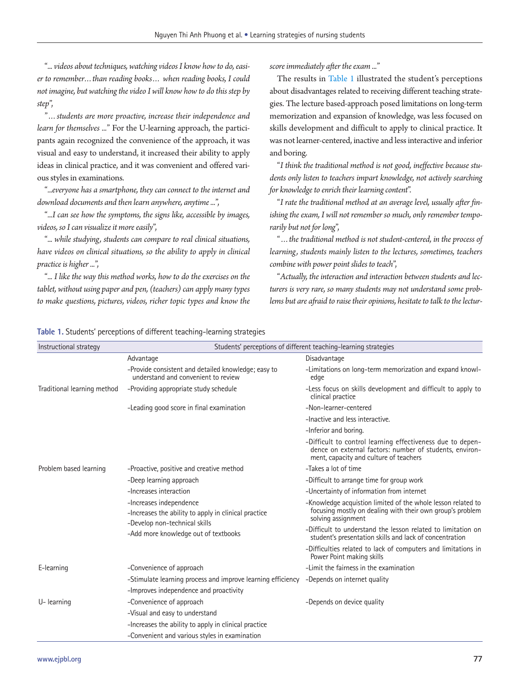"*... videos about techniques, watching videos I know how to do, easier to remember…than reading books… when reading books, I could not imagine, but watching the video I will know how to do this step by step*",

"*…students are more proactive, increase their independence and learn for themselves ...*" For the U-learning approach, the participants again recognized the convenience of the approach, it was visual and easy to understand, it increased their ability to apply ideas in clinical practice, and it was convenient and offered various styles in examinations.

"*...everyone has a smartphone, they can connect to the internet and download documents and then learn anywhere, anytime ...*",

"*...I can see how the symptoms, the signs like, accessible by images, videos, so I can visualize it more easily*",

"*... while studying, students can compare to real clinical situations, have videos on clinical situations, so the ability to apply in clinical practice is higher ...*",

"*... I like the way this method works, how to do the exercises on the tablet, without using paper and pen, (teachers) can apply many types to make questions, pictures, videos, richer topic types and know the*  *score immediately after the exam ...*"

The results in [Table 1](#page-3-0) illustrated the student's perceptions about disadvantages related to receiving different teaching strategies. The lecture based-approach posed limitations on long-term memorization and expansion of knowledge, was less focused on skills development and difficult to apply to clinical practice. It was not learner-centered, inactive and less interactive and inferior and boring.

"*I think the traditional method is not good, ineffective because students only listen to teachers impart knowledge, not actively searching for knowledge to enrich their learning content*".

"*I rate the traditional method at an average level, usually after finishing the exam, I will not remember so much, only remember temporarily but not for long*",

"*…the traditional method is not student-centered, in the process of learning, students mainly listen to the lectures, sometimes, teachers combine with power point slides to teach*",

"*Actually, the interaction and interaction between students and lecturers is very rare, so many students may not understand some problems but are afraid to raise their opinions, hesitate to talk to the lectur-*

#### <span id="page-3-0"></span>**Table 1.** Students' perceptions of different teaching-learning strategies

| Instructional strategy      |                                                                                                                  | Students' perceptions of different teaching-learning strategies                                                                                                 |
|-----------------------------|------------------------------------------------------------------------------------------------------------------|-----------------------------------------------------------------------------------------------------------------------------------------------------------------|
|                             | Advantage                                                                                                        | Disadvantage                                                                                                                                                    |
|                             | -Provide consistent and detailed knowledge; easy to<br>understand and convenient to review                       | -Limitations on long-term memorization and expand knowl-<br>edge                                                                                                |
| Traditional learning method | -Providing appropriate study schedule                                                                            | -Less focus on skills development and difficult to apply to<br>clinical practice                                                                                |
|                             | -Leading good score in final examination                                                                         | -Non-learner-centered                                                                                                                                           |
|                             |                                                                                                                  | -Inactive and less interactive.                                                                                                                                 |
|                             |                                                                                                                  | -Inferior and boring.                                                                                                                                           |
|                             |                                                                                                                  | -Difficult to control learning effectiveness due to depen-<br>dence on external factors: number of students, environ-<br>ment, capacity and culture of teachers |
| Problem based learning      | -Proactive, positive and creative method                                                                         | -Takes a lot of time                                                                                                                                            |
|                             | -Deep learning approach                                                                                          | -Difficult to arrange time for group work                                                                                                                       |
|                             | -Increases interaction                                                                                           | -Uncertainty of information from internet                                                                                                                       |
|                             | -Increases independence<br>-Increases the ability to apply in clinical practice<br>-Develop non-technical skills | -Knowledge acquistion limited of the whole lesson related to<br>focusing mostly on dealing with their own group's problem<br>solving assignment                 |
|                             | -Add more knowledge out of textbooks                                                                             | -Difficult to understand the lesson related to limitation on<br>student's presentation skills and lack of concentration                                         |
|                             |                                                                                                                  | -Difficulties related to lack of computers and limitations in<br>Power Point making skills                                                                      |
| E-learning                  | -Convenience of approach                                                                                         | -Limit the fairness in the examination                                                                                                                          |
|                             | -Stimulate learning process and improve learning efficiency                                                      | -Depends on internet quality                                                                                                                                    |
|                             | -Improves independence and proactivity                                                                           |                                                                                                                                                                 |
| U-learning                  | -Convenience of approach                                                                                         | -Depends on device quality                                                                                                                                      |
|                             | -Visual and easy to understand                                                                                   |                                                                                                                                                                 |
|                             | -Increases the ability to apply in clinical practice                                                             |                                                                                                                                                                 |
|                             | -Convenient and various styles in examination                                                                    |                                                                                                                                                                 |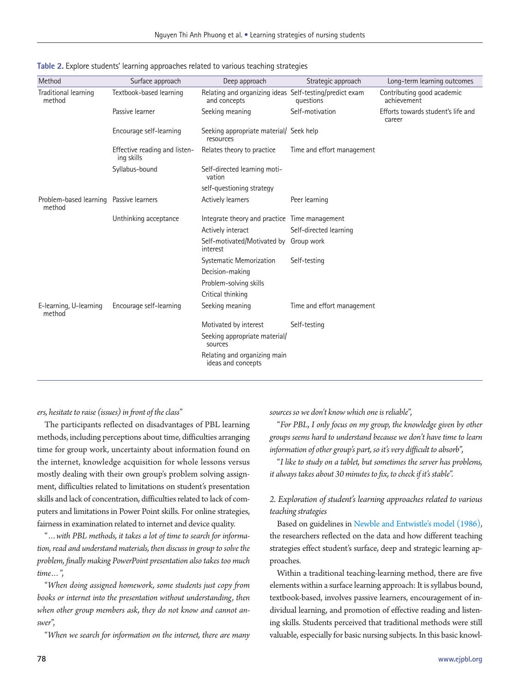| Method                                            | Surface approach                            | Deep approach                                                           | Strategic approach         | Long-term learning outcomes                  |
|---------------------------------------------------|---------------------------------------------|-------------------------------------------------------------------------|----------------------------|----------------------------------------------|
| Traditional learning<br>method                    | Textbook-based learning                     | Relating and organizing ideas Self-testing/predict exam<br>and concepts | questions                  | Contributing good academic<br>achievement    |
|                                                   | Passive learner                             | Seeking meaning                                                         | Self-motivation            | Efforts towards student's life and<br>career |
|                                                   | Encourage self-learning                     | Seeking appropriate material/ Seek help<br>resources                    |                            |                                              |
|                                                   | Effective reading and listen-<br>ing skills | Relates theory to practice                                              | Time and effort management |                                              |
|                                                   | Syllabus-bound                              | Self-directed learning moti-<br>vation                                  |                            |                                              |
|                                                   |                                             | self-questioning strategy                                               |                            |                                              |
| Problem-based learning Passive learners<br>method |                                             | Actively learners                                                       | Peer learning              |                                              |
|                                                   | Unthinking acceptance                       | Integrate theory and practice Time management                           |                            |                                              |
|                                                   |                                             | Actively interact                                                       | Self-directed learning     |                                              |
|                                                   |                                             | Self-motivated/Motivated by<br>interest                                 | Group work                 |                                              |
|                                                   |                                             | Systematic Memorization                                                 | Self-testing               |                                              |
|                                                   |                                             | Decision-making                                                         |                            |                                              |
|                                                   |                                             | Problem-solving skills                                                  |                            |                                              |
|                                                   |                                             | Critical thinking                                                       |                            |                                              |
| E-learning, U-learning<br>method                  | Encourage self-learning                     | Seeking meaning                                                         | Time and effort management |                                              |
|                                                   |                                             | Motivated by interest                                                   | Self-testing               |                                              |
|                                                   |                                             | Seeking appropriate material/<br>sources                                |                            |                                              |
|                                                   |                                             | Relating and organizing main<br>ideas and concepts                      |                            |                                              |

<span id="page-4-0"></span>**Table 2.** Explore students' learning approaches related to various teaching strategies

### *ers, hesitate to raise (issues) in front of the class*"

The participants reflected on disadvantages of PBL learning methods, including perceptions about time, difficulties arranging time for group work, uncertainty about information found on the internet, knowledge acquisition for whole lessons versus mostly dealing with their own group's problem solving assignment, difficulties related to limitations on student's presentation skills and lack of concentration, difficulties related to lack of computers and limitations in Power Point skills. For online strategies, fairness in examination related to internet and device quality.

"*…with PBL methods, it takes a lot of time to search for information, read and understand materials, then discuss in group to solve the problem, finally making PowerPoint presentation also takes too much time…*",

"*When doing assigned homework, some students just copy from books or internet into the presentation without understanding, then when other group members ask, they do not know and cannot answer*",

"*When we search for information on the internet, there are many* 

*sources so we don't know which one is reliable*",

"*For PBL, I only focus on my group, the knowledge given by other groups seems hard to understand because we don't have time to learn information of other group's part, so it's very difficult to absorb*",

"*I like to study on a tablet, but sometimes the server has problems, it always takes about 30 minutes to fix, to check if it's stable*".

## *2. Exploration of student's learning approaches related to various teaching strategies*

Based on guidelines in [Newble and Entwistle's model \(1986\),](#page-10-8) the researchers reflected on the data and how different teaching strategies effect student's surface, deep and strategic learning approaches.

Within a traditional teaching-learning method, there are five elements within a surface learning approach: It is syllabus bound, textbook-based, involves passive learners, encouragement of individual learning, and promotion of effective reading and listening skills. Students perceived that traditional methods were still valuable, especially for basic nursing subjects. In this basic knowl-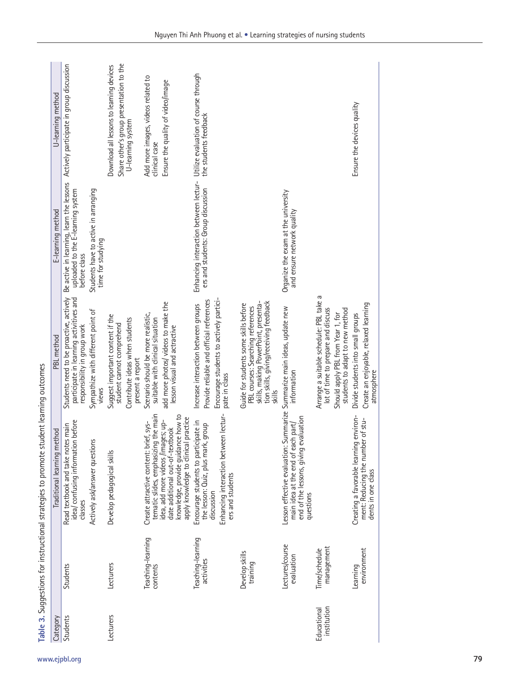<span id="page-5-0"></span>

| Category                   |                                 | Traditional learning method                                                                                                                           | PBL method                                                                                                                                                             | E-learning method                                                                             | U-learning method                                                                                        |
|----------------------------|---------------------------------|-------------------------------------------------------------------------------------------------------------------------------------------------------|------------------------------------------------------------------------------------------------------------------------------------------------------------------------|-----------------------------------------------------------------------------------------------|----------------------------------------------------------------------------------------------------------|
| Students                   | Students                        | idea/ confusing information before<br>Read textbook and take notes main<br>classes                                                                    | Students need to be proactive, actively<br>participate in learning activitives and<br>responsibility in group work                                                     | Be active in learning, learn the lessons<br>uploaded to the E-learning system<br>before class | Actively participate in group discussion                                                                 |
|                            |                                 | Actively ask/answer questions                                                                                                                         | Sympathize with different point of<br>views                                                                                                                            | Students have to active in arranging<br>time for studying                                     |                                                                                                          |
| Lecturers                  | Lecturers                       | Develop pedagogical skills                                                                                                                            | Suggest important content if the<br>Contribute ideas when students<br>student cannot comprehend<br>present a report                                                    |                                                                                               | Share other's group presentation to the<br>Download all lessons to learning devices<br>U-learning system |
|                            | Teaching-learning<br>contents   | tematic slides, emphasizing the main<br>Create attractive content: brief, sys-                                                                        | Scenario should be more realistic,<br>suitable with clinical situation                                                                                                 |                                                                                               | Add more images, videos related to<br>clinical case                                                      |
|                            |                                 | knowledge, provide guidance how to<br>apply knowledge to clinical practice<br>idea, add more videos /images; up-<br>date additional out-of-textbook   | add more photos/ videos to make the<br>lesson visual and actractive                                                                                                    |                                                                                               | Ensure the quality of video/image                                                                        |
|                            | Teaching-learning<br>activities | Enhancing interaction between lectur-<br>Encourage students to participate in<br>the lesson: Quiz, plus mark, group<br>ers and students<br>discussion | Encourage students to actively partici-<br>Provide reliable and official references<br>Increase interaction between groups<br>pate in class                            | Enhancing interaction between lectur-<br>ers and students: Group discussion                   | Utilize evaluation of course through<br>the students feedback                                            |
|                            | Develop skills<br>training      |                                                                                                                                                       | tion skills, giving/receiving feedback<br>PBL courses: Searching references<br>skills, making PowerPoint, presenta-<br>Guide for students some skills before<br>skills |                                                                                               |                                                                                                          |
|                            | Lectures/course<br>evaluation   | evaluation<br>main idea at the end of each part/<br>Lesson effective evaluation:<br>end of the lessons, giving<br>questions                           | Summarize Summarize main ideas, update new<br>information                                                                                                              | Organize the exam at the university<br>and ensure network quality                             |                                                                                                          |
| institution<br>Educational | management<br>Time/schedule     |                                                                                                                                                       | Arrange a suitable schedule: PBL take a<br>lot of time to prepare and discuss<br>students to adapt to new method<br>Should apply PBL from Year 1, for                  |                                                                                               |                                                                                                          |
|                            | environment<br>Leaming          | Creating a favorable learning environ-<br>ment: Reducing the number of stu-<br>dents in one class                                                     | Create an enjoyable, relaxed learning<br>Divide students into small groups<br>atmosphere                                                                               |                                                                                               | Ensure the devices quality                                                                               |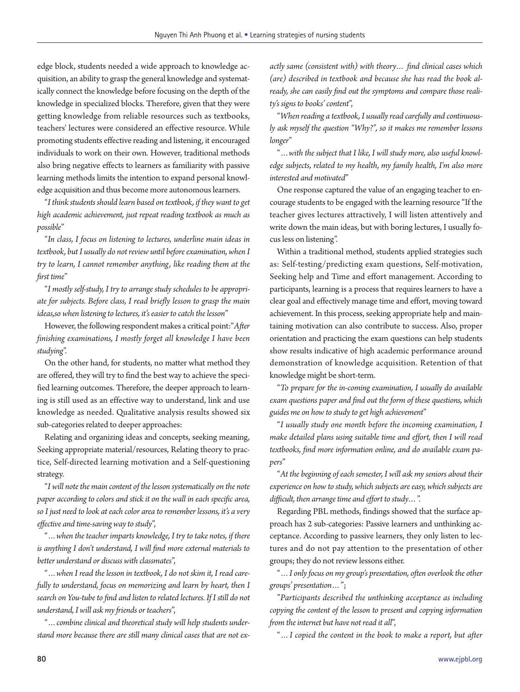edge block, students needed a wide approach to knowledge acquisition, an ability to grasp the general knowledge and systematically connect the knowledge before focusing on the depth of the knowledge in specialized blocks. Therefore, given that they were getting knowledge from reliable resources such as textbooks, teachers' lectures were considered an effective resource. While promoting students effective reading and listening, it encouraged individuals to work on their own. However, traditional methods also bring negative effects to learners as familiarity with passive learning methods limits the intention to expand personal knowledge acquisition and thus become more autonomous learners.

"*I think students should learn based on textbook, if they want to get high academic achievement, just repeat reading textbook as much as possible*"

"*In class, I focus on listening to lectures, underline main ideas in textbook, but I usually do not review until before examination, when I try to learn, I cannot remember anything, like reading them at the first time*"

"*I mostly self-study, I try to arrange study schedules to be appropriate for subjects. Before class, I read briefly lesson to grasp the main ideas,so when listening to lectures, it's easier to catch the lesson*"

However, the following respondent makes a critical point:"*After finishing examinations, I mostly forget all knowledge I have been studying*".

On the other hand, for students, no matter what method they are offered, they will try to find the best way to achieve the specified learning outcomes. Therefore, the deeper approach to learning is still used as an effective way to understand, link and use knowledge as needed. Qualitative analysis results showed six sub-categories related to deeper approaches:

Relating and organizing ideas and concepts, seeking meaning, Seeking appropriate material/resources, Relating theory to practice, Self-directed learning motivation and a Self-questioning strategy.

"*I will note the main content of the lesson systematically on the note paper according to colors and stick it on the wall in each specific area, so I just need to look at each color area to remember lessons, it's a very effective and time-saving way to study*",

"*…when the teacher imparts knowledge, I try to take notes, if there is anything I don't understand, I will find more external materials to better understand or discuss with classmates*",

"*…when I read the lesson in textbook, I do not skim it, I read carefully to understand, focus on memorizing and learn by heart, then I search on You-tube to find and listen to related lectures. If I still do not understand, I will ask my friends or teachers*",

"*…combine clinical and theoretical study will help students understand more because there are still many clinical cases that are not ex-* *actly same (consistent with) with theory… find clinical cases which (are) described in textbook and because she has read the book already, she can easily find out the symptoms and compare those reality's signs to books' content*",

"*When reading a textbook, I usually read carefully and continuously ask myself the question "Why?", so it makes me remember lessons longer*"

"*…with the subject that I like, I will study more, also useful knowledge subjects, related to my health, my family health, I'm also more interested and motivated*"

One response captured the value of an engaging teacher to encourage students to be engaged with the learning resource "If the teacher gives lectures attractively, I will listen attentively and write down the main ideas, but with boring lectures, I usually focus less on listening".

Within a traditional method, students applied strategies such as: Self-testing/predicting exam questions, Self-motivation, Seeking help and Time and effort management. According to participants, learning is a process that requires learners to have a clear goal and effectively manage time and effort, moving toward achievement. In this process, seeking appropriate help and maintaining motivation can also contribute to success. Also, proper orientation and practicing the exam questions can help students show results indicative of high academic performance around demonstration of knowledge acquisition. Retention of that knowledge might be short-term.

"*To prepare for the in-coming examination, I usually do available exam questions paper and find out the form of these questions, which guides me on how to study to get high achievement*"

"*I usually study one month before the incoming examination, I make detailed plans using suitable time and effort, then I will read textbooks, find more information online, and do available exam papers*"

"*At the beginning of each semester, I will ask my seniors about their experience on how to study, which subjects are easy, which subjects are difficult, then arrange time and effort to study…*".

Regarding PBL methods, findings showed that the surface approach has 2 sub-categories: Passive learners and unthinking acceptance. According to passive learners, they only listen to lectures and do not pay attention to the presentation of other groups; they do not review lessons either.

"*…I only focus on my group's presentation, often overlook the other groups' presentation…*";

"*Participants described the unthinking acceptance as including copying the content of the lesson to present and copying information from the internet but have not read it all*",

"*…I copied the content in the book to make a report, but after*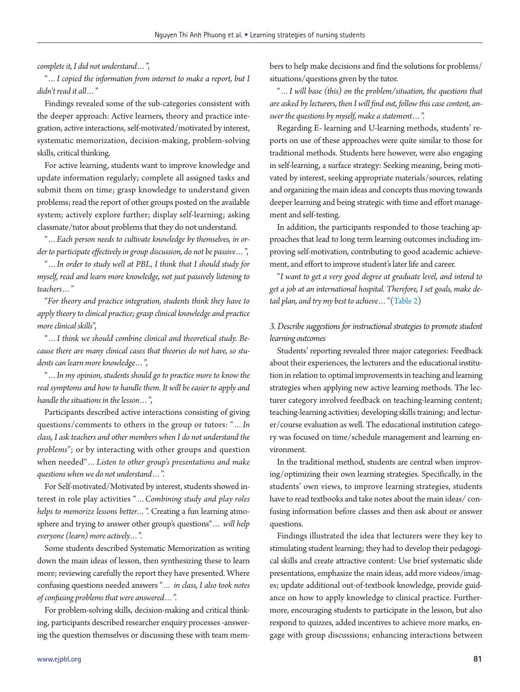*complete it, I did not understand…*",

"*…I copied the information from internet to make a report, but I didn't read it all…*"

Findings revealed some of the sub-categories consistent with the deeper approach: Active learners, theory and practice integration, active interactions, self-motivated/motivated by interest, systematic memorization, decision-making, problem-solving skills, critical thinking.

For active learning, students want to improve knowledge and update information regularly; complete all assigned tasks and submit them on time; grasp knowledge to understand given problems; read the report of other groups posted on the available system; actively explore further; display self-learning; asking classmate/tutor about problems that they do not understand.

"*…Each person needs to cultivate knowledge by themselves, in order to participate effectively in group discussion, do not be passive…*",

"*…In order to study well at PBL, I think that I should study for myself, read and learn more knowledge, not just passively listening to teachers…*"

"*For theory and practice integration, students think they have to apply theory to clinical practice; grasp clinical knowledge and practice more clinical skills*",

"*…I think we should combine clinical and theoretical study. Because there are many clinical cases that theories do not have, so students can learn more knowledge…*",

"*…In my opinion, students should go to practice more to know the real symptoms and how to handle them. It will be easier to apply and handle the situations in the lesson…*",

Participants described active interactions consisting of giving questions/comments to others in the group or tutors: "*…In class, I ask teachers and other members when I do not understand the problems*"; or by interacting with other groups and question when needed"*…Listen to other group's presentations and make questions when we do not understand…*".

For Self-motivated/Motivated by interest, students showed interest in role play activities "*…Combining study and play roles helps to memorize lessons better…*". Creating a fun learning atmosphere and trying to answer other group's questions"*… will help everyone (learn) more actively…*".

Some students described Systematic Memorization as writing down the main ideas of lesson, then synthesizing these to learn more; reviewing carefully the report they have presented. Where confusing questions needed answers "*… in class, I also took notes of confusing problems that were answered…*".

For problem-solving skills, decision-making and critical thinking, participants described researcher enquiry processes -answering the question themselves or discussing these with team members to help make decisions and find the solutions for problems/ situations/questions given by the tutor.

"*…I will base (this) on the problem/situation, the questions that are asked by lecturers, then I will find out, follow this case content, answer the questions by myself, make a statement…*".

Regarding E- learning and U-learning methods, students' reports on use of these approaches were quite similar to those for traditional methods. Students here however, were also engaging in self-learning, a surface strategy: Seeking meaning, being motivated by interest, seeking appropriate materials/sources, relating and organizing the main ideas and concepts thus moving towards deeper learning and being strategic with time and effort management and self-testing.

In addition, the participants responded to those teaching approaches that lead to long term learning outcomes including improving self-motivation, contributing to good academic achievement, and effort to improve student's later life and career.

"*I want to get a very good degree at graduate level, and intend to get a job at an international hospital. Therefore, I set goals, make detail plan, and try my best to achieve…*"[\(Table 2\)](#page-4-0)

## *3. Describe suggestions for instructional strategies to promote student learning outcomes*

Students' reporting revealed three major categories: Feedback about their experiences, the lecturers and the educational institution in relation to optimal improvements in teaching and learning strategies when applying new active learning methods. The lecturer category involved feedback on teaching-learning content; teaching-learning activities; developing skills training; and lecturer/course evaluation as well. The educational institution category was focused on time/schedule management and learning environment.

In the traditional method, students are central when improving/optimizing their own learning strategies. Specifically, in the students' own views, to improve learning strategies, students have to read textbooks and take notes about the main ideas/ confusing information before classes and then ask about or answer questions.

Findings illustrated the idea that lecturers were they key to stimulating student learning; they had to develop their pedagogical skills and create attractive content: Use brief systematic slide presentations, emphasize the main ideas, add more videos/images; update additional out-of-textbook knowledge, provide guidance on how to apply knowledge to clinical practice. Furthermore, encouraging students to participate in the lesson, but also respond to quizzes, added incentives to achieve more marks, engage with group discussions; enhancing interactions between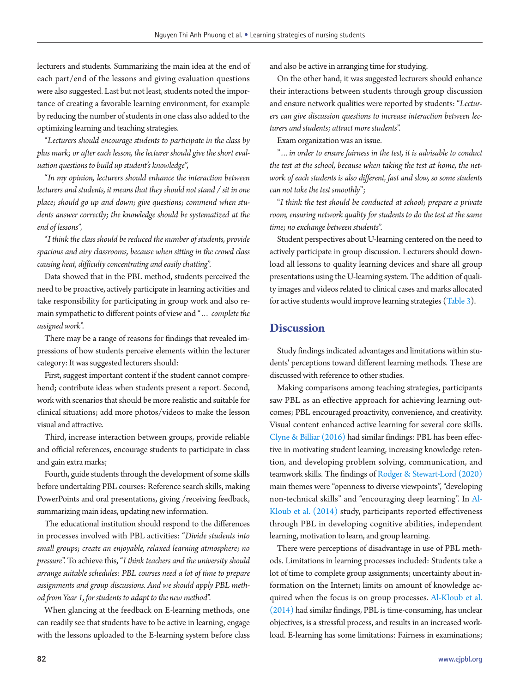lecturers and students. Summarizing the main idea at the end of each part/end of the lessons and giving evaluation questions were also suggested. Last but not least, students noted the importance of creating a favorable learning environment, for example by reducing the number of students in one class also added to the optimizing learning and teaching strategies.

"*Lecturers should encourage students to participate in the class by plus mark; or after each lesson, the lecturer should give the short evaluation questions to build up student's knowledge*",

"*In my opinion, lecturers should enhance the interaction between lecturers and students, it means that they should not stand / sit in one place; should go up and down; give questions; commend when students answer correctly; the knowledge should be systematized at the end of lessons*",

"*I think the class should be reduced the number of students, provide spacious and airy classrooms, because when sitting in the crowd class causing heat, difficulty concentrating and easily chatting*".

Data showed that in the PBL method, students perceived the need to be proactive, actively participate in learning activities and take responsibility for participating in group work and also remain sympathetic to different points of view and "*… complete the assigned work*".

There may be a range of reasons for findings that revealed impressions of how students perceive elements within the lecturer category: It was suggested lecturers should:

First, suggest important content if the student cannot comprehend; contribute ideas when students present a report. Second, work with scenarios that should be more realistic and suitable for clinical situations; add more photos/videos to make the lesson visual and attractive.

Third, increase interaction between groups, provide reliable and official references, encourage students to participate in class and gain extra marks;

Fourth, guide students through the development of some skills before undertaking PBL courses: Reference search skills, making PowerPoints and oral presentations, giving /receiving feedback, summarizing main ideas, updating new information.

The educational institution should respond to the differences in processes involved with PBL activities: "*Divide students into small groups; create an enjoyable, relaxed learning atmosphere; no pressure*". To achieve this, "*I think teachers and the university should arrange suitable schedules: PBL courses need a lot of time to prepare assignments and group discussions. And we should apply PBL method from Year 1, for students to adapt to the new method*".

When glancing at the feedback on E-learning methods, one can readily see that students have to be active in learning, engage with the lessons uploaded to the E-learning system before class and also be active in arranging time for studying.

On the other hand, it was suggested lecturers should enhance their interactions between students through group discussion and ensure network qualities were reported by students: "*Lecturers can give discussion questions to increase interaction between lecturers and students; attract more students*".

Exam organization was an issue.

"*…in order to ensure fairness in the test, it is advisable to conduct the test at the school, because when taking the test at home, the network of each students is also different, fast and slow, so some students can not take the test smoothly*";

"*I think the test should be conducted at school; prepare a private room, ensuring network quality for students to do the test at the same time; no exchange between students*".

Student perspectives about U-learning centered on the need to actively participate in group discussion. Lecturers should download all lessons to quality learning devices and share all group presentations using the U-learning system. The addition of quality images and videos related to clinical cases and marks allocated for active students would improve learning strategies ([Table 3](#page-5-0)).

## **Discussion**

Study findings indicated advantages and limitations within students' perceptions toward different learning methods. These are discussed with reference to other studies.

Making comparisons among teaching strategies, participants saw PBL as an effective approach for achieving learning outcomes; PBL encouraged proactivity, convenience, and creativity. Visual content enhanced active learning for several core skills. [Clyne & Billiar \(2016\)](#page-10-9) had similar findings: PBL has been effective in motivating student learning, increasing knowledge retention, and developing problem solving, communication, and teamwork skills. The findings of [Rodger &](#page-10-10) [Stewart-Lord \(2020\)](#page-10-10) main themes were "openness to diverse viewpoints", "developing non-technical skills" and "encouraging deep learning". In [Al-](#page-9-0)[Kloub et al. \(2014\)](#page-9-0) study, participants reported effectiveness through PBL in developing cognitive abilities, independent learning, motivation to learn, and group learning.

There were perceptions of disadvantage in use of PBL methods. Limitations in learning processes included: Students take a lot of time to complete group assignments; uncertainty about information on the Internet; limits on amount of knowledge acquired when the focus is on group processes. [Al-Kloub et al.](#page-9-0)  [\(2014\)](#page-9-0) had similar findings, PBL is time-consuming, has unclear objectives, is a stressful process, and results in an increased workload. E-learning has some limitations: Fairness in examinations;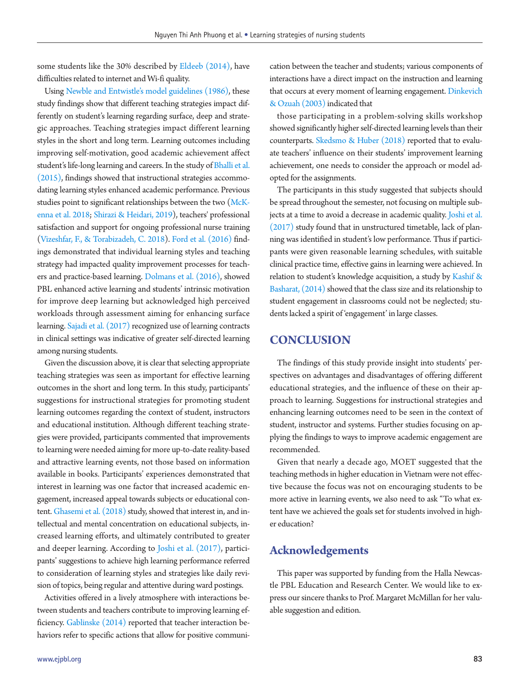some students like the 30% described by [Eldeeb \(2014\),](#page-10-11) have difficulties related to internet and Wi-fi quality.

Using Newble and Entwistle's model guidelines (1986), these study findings show that different teaching strategies impact differently on student's learning regarding surface, deep and strategic approaches. Teaching strategies impact different learning styles in the short and long term. Learning outcomes including improving self-motivation, good academic achievement affect student's life-long learning and careers. In the study of [Bhalli et al.](#page-10-12) [\(2015\)](#page-10-12), findings showed that instructional strategies accommodating learning styles enhanced academic performance. Previous studies point to significant relationships between the two [\(McK](#page-10-13)[enna et al. 2018;](#page-10-13) [Shirazi & Heidari, 2019](#page-10-14)), teachers' professional satisfaction and support for ongoing professional nurse training ([Vizeshfar, F](#page-11-0)., & Torabizadeh, C. 2018). [Ford et al. \(2016\)](#page-10-15) findings demonstrated that individual learning styles and teaching strategy had impacted quality improvement processes for teachers and practice-based learning. [Dolmans et al. \(2016\)](#page-10-16), showed PBL enhanced active learning and students' intrinsic motivation for improve deep learning but acknowledged high perceived workloads through assessment aiming for enhancing surface learning. [Sajadi et al. \(2017\)](#page-10-17) recognized use of learning contracts in clinical settings was indicative of greater self-directed learning among nursing students.

Given the discussion above, it is clear that selecting appropriate teaching strategies was seen as important for effective learning outcomes in the short and long term. In this study, participants' suggestions for instructional strategies for promoting student learning outcomes regarding the context of student, instructors and educational institution. Although different teaching strategies were provided, participants commented that improvements to learning were needed aiming for more up-to-date reality-based and attractive learning events, not those based on information available in books. Participants' experiences demonstrated that interest in learning was one factor that increased academic engagement, increased appeal towards subjects or educational content. [Ghasemi et al. \(2018\)](#page-10-18) study, showed that interest in, and intellectual and mental concentration on educational subjects, increased learning efforts, and ultimately contributed to greater and deeper learning. According to [Joshi et al. \(2017\)](#page-10-19), participants' suggestions to achieve high learning performance referred to consideration of learning styles and strategies like daily revision of topics, being regular and attentive during ward postings.

Activities offered in a lively atmosphere with interactions between students and teachers contribute to improving learning efficiency. [Gablinske \(2014\)](#page-10-20) reported that teacher interaction behaviors refer to specific actions that allow for positive communication between the teacher and students; various components of interactions have a direct impact on the instruction and learning that occurs at every moment of learning engagement. [Dinkevich](#page-10-21)  [& Ozuah \(2003\)](#page-10-21) indicated that

those participating in a problem-solving skills workshop showed significantly higher self-directed learning levels than their counterparts. [Skedsmo & Huber \(2018\)](#page-10-22) reported that to evaluate teachers' influence on their students' improvement learning achievement, one needs to consider the approach or model adopted for the assignments.

The participants in this study suggested that subjects should be spread throughout the semester, not focusing on multiple subjects at a time to avoid a decrease in academic quality. [Joshi et al.](#page-10-19)  [\(2017\)](#page-10-19) study found that in unstructured timetable, lack of planning was identified in student's low performance. Thus if participants were given reasonable learning schedules, with suitable clinical practice time, effective gains in learning were achieved. In relation to student's knowledge acquisition, a study by [Kashif &](#page-10-23)  [Basharat, \(2014\)](#page-10-23) showed that the class size and its relationship to student engagement in classrooms could not be neglected; students lacked a spirit of 'engagement' in large classes.

## **CONCLUSION**

The findings of this study provide insight into students' perspectives on advantages and disadvantages of offering different educational strategies, and the influence of these on their approach to learning. Suggestions for instructional strategies and enhancing learning outcomes need to be seen in the context of student, instructor and systems. Further studies focusing on applying the findings to ways to improve academic engagement are recommended.

Given that nearly a decade ago, MOET suggested that the teaching methods in higher education in Vietnam were not effective because the focus was not on encouraging students to be more active in learning events, we also need to ask "To what extent have we achieved the goals set for students involved in higher education?

## <span id="page-9-0"></span>**Acknowledgements**

This paper was supported by funding from the Halla Newcastle PBL Education and Research Center. We would like to express our sincere thanks to Prof. Margaret McMillan for her valuable suggestion and edition.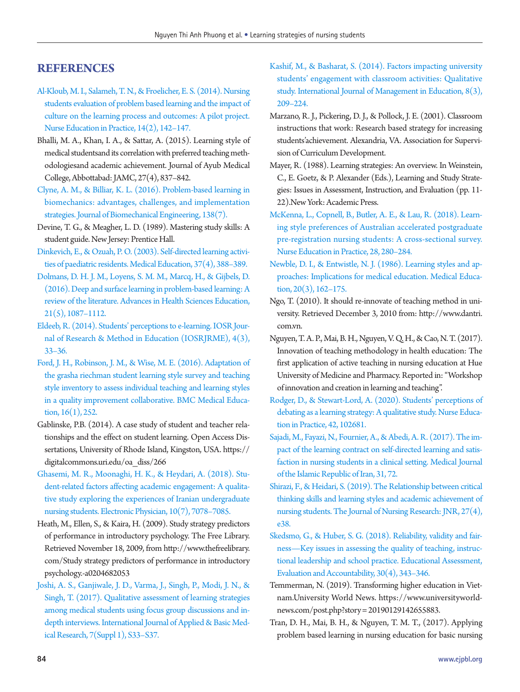# **REFERENCES**

- [Al-Kloub, M. I., Salameh, T. N., & Froelicher, E. S. \(2014\). Nursing](https://doi.org/10.1016/j.nepr.2013.06.013) [students evaluation of problem based learning and the impact of](https://doi.org/10.1016/j.nepr.2013.06.013) [culture on the learning process and outcomes: A pilot project.](https://doi.org/10.1016/j.nepr.2013.06.013) [Nurse Education in Practice, 14\(2\), 142–147.](https://doi.org/10.1016/j.nepr.2013.06.013)
- <span id="page-10-12"></span>Bhalli, M. A., Khan, I. A., & Sattar, A. (2015). Learning style of medical studentsand its correlation with preferred teaching methodologiesand academic achievement. Journal of Ayub Medical College, Abbottabad: JAMC, 27(4), 837–842.
- <span id="page-10-9"></span>[Clyne, A. M., & Billiar, K. L. \(2016\). Problem-based learning in](https://doi.org/10.1115/1.4033671) [biomechanics: advantages, challenges, and implementation](https://doi.org/10.1115/1.4033671) [strategies. Journal of Biomechanical Engineering, 138\(7\).](https://doi.org/10.1115/1.4033671)
- <span id="page-10-4"></span>Devine, T. G., & Meagher, L. D. (1989). Mastering study skills: A student guide. New Jersey: Prentice Hall.
- <span id="page-10-21"></span>[Dinkevich, E., & Ozuah, P. O. \(2003\). Self-directed learning activi](https://doi.org/10.1046/j.1365-2923.2003.01459.x)[ties of paediatric residents. Medical Education, 37\(4\), 388–389](https://doi.org/10.1046/j.1365-2923.2003.01459.x).
- <span id="page-10-16"></span>[Dolmans, D. H. J. M., Loyens, S. M. M., Marcq, H., & Gijbels, D.](https://doi.org/10.1007/s10459-015-9645-6) [\(2016\). Deep and surface learning in problem-based learning: A](https://doi.org/10.1007/s10459-015-9645-6) [review of the literature. Advances in Health Sciences Education,](https://doi.org/10.1007/s10459-015-9645-6) [21\(5\), 1087–1112.](https://doi.org/10.1007/s10459-015-9645-6)
- <span id="page-10-11"></span>[Eldeeb, R. \(2014\). Students' perceptions to e-learning. IOSR Jour](https://doi.org/10.9790/7388-04343336)[nal of Research & Method in Education \(IOSRJRME\), 4\(3\),](https://doi.org/10.9790/7388-04343336) [33–36.](https://doi.org/10.9790/7388-04343336)
- <span id="page-10-15"></span>[Ford, J. H., Robinson, J. M., & Wise, M. E. \(2016\). Adaptation of](https://doi.org/10.1186/s12909-016-0772-4)  [the grasha riechman student learning style survey and teaching](https://doi.org/10.1186/s12909-016-0772-4) [style inventory to assess individual teaching and learning styles](https://doi.org/10.1186/s12909-016-0772-4) [in a quality improvement collaborative. BMC Medical Educa](https://doi.org/10.1186/s12909-016-0772-4)tion,  $16(1)$ , 252.
- <span id="page-10-20"></span>Gablinske, P.B. (2014). A case study of student and teacher relationships and the effect on student learning. Open Access Dissertations, University of Rhode Island, Kingston, USA. https:// digitalcommons.uri.edu/oa\_diss/266
- <span id="page-10-18"></span>[Ghasemi, M. R., Moonaghi, H. K., & Heydari, A. \(2018\). Stu](https://doi.org/10.19082/7078)[dent-related factors affecting academic engagement: A qualita](https://doi.org/10.19082/7078)[tive study exploring the experiences of Iranian undergraduate](https://doi.org/10.19082/7078) [nursing students. Electronic Physician, 10\(7\), 7078–7085](https://doi.org/10.19082/7078).
- <span id="page-10-23"></span><span id="page-10-7"></span>Heath, M., Ellen, S., & Kaira, H. (2009). Study strategy predictors of performance in introductory psychology. The Free Library. Retrieved November 18, 2009, from http:[//www.thefreelibrary.](www.thefreelibrary.com/Study) [com/Study s](www.thefreelibrary.com/Study)trategy predictors of performance in introductory psychology.-a0204682053
- <span id="page-10-19"></span>[Joshi, A. S., Ganjiwale, J. D., Varma, J., Singh, P., Modi, J. N., &](https://doi.org/10.4103/ijabmr.IJABMR_144_17) [Singh, T. \(2017\). Qualitative assessment of learning strategies](https://doi.org/10.4103/ijabmr.IJABMR_144_17) [among medical students using focus group discussions and in](https://doi.org/10.4103/ijabmr.IJABMR_144_17)[depth interviews. International Journal of Applied & Basic Med](https://doi.org/10.4103/ijabmr.IJABMR_144_17)[ical Research,](https://doi.org/10.4103/ijabmr.IJABMR_144_17) 7(Suppl 1), S33–S37.
- <span id="page-10-6"></span>[Kashif, M., & Basharat, S. \(2014\). Factors impacting university](https://doi.org/10.1504/IJMIE.2014.062957)  [students' engagement with classroom activities: Qualitative](https://doi.org/10.1504/IJMIE.2014.062957)  [study. International Journal of Management in Education, 8\(3\),](https://doi.org/10.1504/IJMIE.2014.062957)  [209–224.](https://doi.org/10.1504/IJMIE.2014.062957)
- <span id="page-10-8"></span>Marzano, R. J., Pickering, D. J., & Pollock, J. E. (2001). Classroom instructions that work: Research based strategy for increasing students'achievement. Alexandria, VA. Association for Supervision of Curriculum Development.
- <span id="page-10-5"></span>Mayer, R. (1988). Learning strategies: An overview. In Weinstein, C., E. Goetz, & P. Alexander (Eds.), Learning and Study Strategies: Issues in Assessment, Instruction, and Evaluation (pp. 11- 22).New York: Academic Press.
- <span id="page-10-13"></span>[McKenna, L., Copnell, B., Butler, A. E., & Lau, R. \(2018\). Learn](https://doi.org/10.1016/j.nepr.2017.10.011)[ing style preferences of Australian accelerated postgraduate](https://doi.org/10.1016/j.nepr.2017.10.011)  [pre-registration nursing students: A cross-sectional survey.](https://doi.org/10.1016/j.nepr.2017.10.011)  [Nurse Education in Practice, 28, 280–284](https://doi.org/10.1016/j.nepr.2017.10.011).
- [Newble, D. I., & Entwistle, N. J. \(1986\). Learning styles and ap](https://doi.org/10.1111/j.1365-2923.1986.tb01163.x)[proaches: Implications for medical education. Medical Educa](https://doi.org/10.1111/j.1365-2923.1986.tb01163.x)[tion, 20\(3\), 162–175.](https://doi.org/10.1111/j.1365-2923.1986.tb01163.x)
- <span id="page-10-10"></span><span id="page-10-0"></span>Ngo, T. (2010). It should re-innovate of teaching method in university. Retrieved December 3, 2010 from: http://ww[w.dantri.](www.dantri.com.vn.) [com.vn](www.dantri.com.vn.).
- <span id="page-10-2"></span>Nguyen, T. A. P., Mai, B. H., Nguyen, V. Q. H., & Cao, N. T. (2017). Innovation of teaching methodology in health education: The first application of active teaching in nursing education at Hue University of Medicine and Pharmacy. Reported in: "Workshop of innovation and creation in learning and teaching".
- [Rodger, D., & Stewart-Lord, A. \(2020\). Students' perceptions of](https://doi.org/10.1016/j.nepr.2019.102681)  [debating as a learning strategy: A qualitative study. Nurse Educa](https://doi.org/10.1016/j.nepr.2019.102681)[tion in Practice, 42, 102681.](https://doi.org/10.1016/j.nepr.2019.102681)
- <span id="page-10-17"></span>[Sajadi, M., Fayazi, N., Fournier, A., & Abedi, A. R. \(2017\). The im](https://doi.org/10.14196/mjiri.31.72)[pact of the learning contract on self-directed learning and satis](https://doi.org/10.14196/mjiri.31.72)[faction in nursing students in a clinical setting. Medical Journal](https://doi.org/10.14196/mjiri.31.72)  [of the Islamic Republic of Iran, 31, 72.](https://doi.org/10.14196/mjiri.31.72)
- <span id="page-10-14"></span>[Shirazi, F., & Heidari, S. \(2019\). The Relationship between critical](https://doi.org/10.1097/jnr.0000000000000307)  [thinking skills and learning styles and academic achievement of](https://doi.org/10.1097/jnr.0000000000000307)  [nursing students. The Journal of Nursing Research: JNR, 27\(4\),](https://doi.org/10.1097/jnr.0000000000000307)  [e38](https://doi.org/10.1097/jnr.0000000000000307).
- <span id="page-10-22"></span>[Skedsmo, G., & Huber, S. G. \(2018\). Reliability, validity and fair](https://doi.org/10.1007/s11092-018-9290-8)[ness—Key issues in assessing the quality of teaching, instruc](https://doi.org/10.1007/s11092-018-9290-8)[tional leadership and school practice. Educational Assessment,](https://doi.org/10.1007/s11092-018-9290-8)  [Evaluation and Accountability, 30\(4\), 343–346.](https://doi.org/10.1007/s11092-018-9290-8)
- <span id="page-10-1"></span>Temmerman, N. (2019). Transforming higher education in Vietnam.University World News. https:/[/www.universityworld](www.universityworldnews.com/post.php?story=20190129142655883.)[news.com/post.php?story = 20190129142655883.](www.universityworldnews.com/post.php?story=20190129142655883.)
- <span id="page-10-3"></span>Tran, D. H., Mai, B. H., & Nguyen, T. M. T., (2017). Applying problem based learning in nursing education for basic nursing